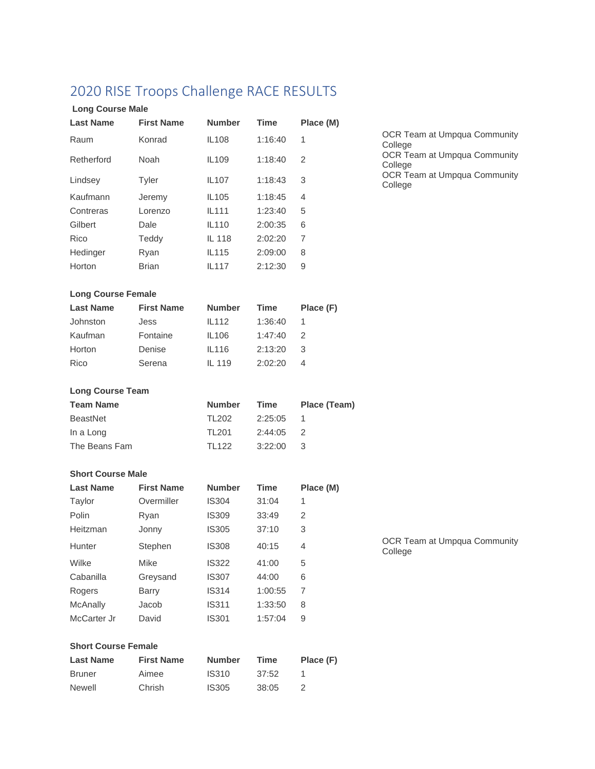|  |  | 2020 RISE Troops Challenge RACE RESULTS |  |  |
|--|--|-----------------------------------------|--|--|
|--|--|-----------------------------------------|--|--|

| <b>Long Course Male</b>    |                   |                   |             |              |
|----------------------------|-------------------|-------------------|-------------|--------------|
| <b>Last Name</b>           | <b>First Name</b> | <b>Number</b>     | Time        | Place (M)    |
| Raum                       | Konrad            | <b>IL108</b>      | 1:16:40     | 1            |
| Retherford                 | Noah              | IL109             | 1:18:40     | 2            |
| Lindsey                    | Tyler             | IL107             | 1:18:43     | 3            |
| Kaufmann                   | Jeremy            | IL <sub>105</sub> | 1:18:45     | 4            |
| Contreras                  | Lorenzo           | IL111             | 1:23:40     | 5            |
| Gilbert                    | Dale              | <b>IL110</b>      | 2:00:35     | 6            |
| Rico                       | Teddy             | IL 118            | 2:02:20     | 7            |
| Hedinger                   | Ryan              | IL115             | 2:09:00     | 8            |
| Horton                     | <b>Brian</b>      | IL117             | 2:12:30     | 9            |
| <b>Long Course Female</b>  |                   |                   |             |              |
| <b>Last Name</b>           | <b>First Name</b> | <b>Number</b>     | Time        | Place (F)    |
| Johnston                   | Jess              | IL112             | 1:36:40     | 1            |
| Kaufman                    | Fontaine          | <b>IL106</b>      | 1:47:40     | 2            |
| Horton                     | Denise            | IL116             | 2:13:20     | 3            |
| Rico                       | Serena            | IL 119            | 2:02:20     | 4            |
| <b>Long Course Team</b>    |                   |                   |             |              |
| <b>Team Name</b>           |                   | <b>Number</b>     | Time        | Place (Team) |
| <b>BeastNet</b>            |                   | <b>TL202</b>      | 2:25:05     | 1            |
| In a Long                  |                   | <b>TL201</b>      | 2:44:05     | 2            |
| The Beans Fam              |                   | <b>TL122</b>      | 3:22:00     | 3            |
| <b>Short Course Male</b>   |                   |                   |             |              |
| <b>Last Name</b>           | <b>First Name</b> | <b>Number</b>     | Time        | Place (M)    |
| Taylor                     | Overmiller        | <b>IS304</b>      | 31:04       | 1            |
| Polin                      | Ryan              | <b>IS309</b>      | 33:49       | 2            |
| Heitzman                   | Jonny             | <b>IS305</b>      | 37:10       | 3            |
| Hunter                     | Stephen           | <b>IS308</b>      | 40:15       | 4            |
| Wilke                      | <b>Mike</b>       | <b>IS322</b>      | 41:00       | 5            |
| Cabanilla                  | Greysand          | <b>IS307</b>      | 44:00       | 6            |
| Rogers                     | <b>Barry</b>      | <b>IS314</b>      | 1:00:55     | 7            |
| <b>McAnally</b>            | Jacob             | <b>IS311</b>      | 1:33:50     | 8            |
| McCarter Jr                | David             | <b>IS301</b>      | 1:57:04     | 9            |
| <b>Short Course Female</b> |                   |                   |             |              |
| <b>Last Name</b>           | <b>First Name</b> | <b>Number</b>     | <b>Time</b> | Place (F)    |
| <b>Bruner</b>              | Aimee             | <b>IS310</b>      | 37:52       | 1            |

Newell Chrish IS305 38:05 2

OCR Team at Umpqua Community College OCR Team at Umpqua Community College OCR Team at Umpqua Community College

OCR Team at Umpqua Community

College